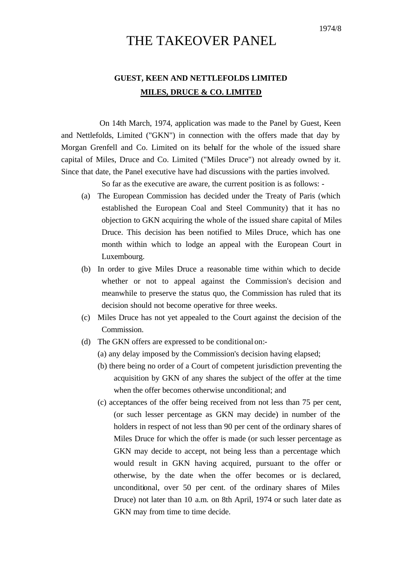## THE TAKEOVER PANEL

## **GUEST, KEEN AND NETTLEFOLDS LIMITED MILES, DRUCE & CO. LIMITED**

On 14th March, 1974, application was made to the Panel by Guest, Keen and Nettlefolds, Limited ("GKN") in connection with the offers made that day by Morgan Grenfell and Co. Limited on its behalf for the whole of the issued share capital of Miles, Druce and Co. Limited ("Miles Druce") not already owned by it. Since that date, the Panel executive have had discussions with the parties involved.

So far as the executive are aware, the current position is as follows: -

- (a) The European Commission has decided under the Treaty of Paris (which established the European Coal and Steel Community) that it has no objection to GKN acquiring the whole of the issued share capital of Miles Druce. This decision has been notified to Miles Druce, which has one month within which to lodge an appeal with the European Court in Luxembourg.
- (b) In order to give Miles Druce a reasonable time within which to decide whether or not to appeal against the Commission's decision and meanwhile to preserve the status quo, the Commission has ruled that its decision should not become operative for three weeks.
- (c) Miles Druce has not yet appealed to the Court against the decision of the Commission.
- (d) The GKN offers are expressed to be conditional on:-
	- (a) any delay imposed by the Commission's decision having elapsed;
	- (b) there being no order of a Court of competent jurisdiction preventing the acquisition by GKN of any shares the subject of the offer at the time when the offer becomes otherwise unconditional; and
	- (c) acceptances of the offer being received from not less than 75 per cent, (or such lesser percentage as GKN may decide) in number of the holders in respect of not less than 90 per cent of the ordinary shares of Miles Druce for which the offer is made (or such lesser percentage as GKN may decide to accept, not being less than a percentage which would result in GKN having acquired, pursuant to the offer or otherwise, by the date when the offer becomes or is declared, unconditional, over 50 per cent. of the ordinary shares of Miles Druce) not later than 10 a.m. on 8th April, 1974 or such later date as GKN may from time to time decide.